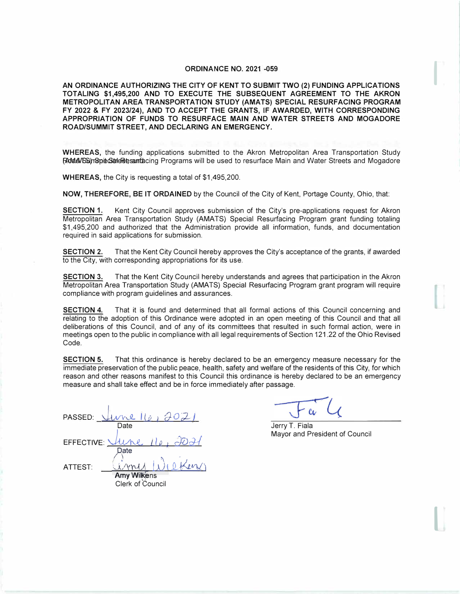## **ORDINANCE NO. 2021 -059**

**AN ORDINANCE AUTHORIZING THE CITY OF KENT TO SUBMIT TWO (2) FUNDING APPLICATIONS TOTALING \$1,495,200 AND TO EXECUTE THE SUBSEQUENT AGREEMENT TO THE AKRON METROPOLITAN AREA TRANSPORTATION STUDY (AMATS) SPECIAL RESURFACING PROGRAM FY 2022 & FY 2023/24), AND TO ACCEPT THE GRANTS, IF AWARDED, WITH CORRESPONDING APPROPRIATION OF FUNDS TO RESURFACE MAIN AND WATER STREETS AND MOGADORE ROAD/SUMMIT STREET, AND DECLARING AN EMERGENCY.** 

R**M4A/ნ**ඛ)സെ അക്ഷേത്തിയും അവത്തെ കാര്യം അവത്തിന്റെ അവത്തിന്റെ അവത്തിന്റെ കാര്യം അവത്തിന്റെ കാര്യം അവ **WHEREAS,** the funding applications submitted to the Akron Metropolitan Area Transportation Study

**WHEREAS,** the City is requesting a total of \$1,495,200.

**NOW, THEREFORE, BE IT ORDAINED** by the Council of the City of Kent, Portage County, Ohio, that:

**SECTION 1.** Kent City Council approves submission of the City's pre-applications request for Akron Metropolitan Area Transportation Study (AMATS) Special Resurfacing Program grant funding totaling \$1,495,200 and authorized that the Administration provide all information, funds, and documentation required in said applications for submission.

**SECTION 2.** That the Kent City Council hereby approves the City's acceptance of the grants, if awarded to the City, with corresponding appropriations for its use.

**SECTION 3.** That the Kent City Council hereby understands and agrees that participation in the Akron Metropolitan Area Transportation Study (AMATS) Special Resurfacing Program grant program will require compliance with program guidelines and assurances.

**SECTION 4.** That it is found and. determined that all formal actions of this Council concerning and relating to the adoption of this Ordinance were adopted in an open meeting of this Council and that all deliberations of this Council, and of any of its committees that resulted in such formal action, were in meetings open to the public in compliance with all legal requirements of Section 121.22 of the Ohio Revised Code.

**SECTION 5.** That this ordinance is hereby declared to be an emergency measure necessary for the immediate preservation of the public peace, health, safety and welfare of the residents of this City, for which reason and other reasons manifest to this Council this ordinance is hereby declared to be an emergency measure and shall take effect and be in force immediately after passage.

|                         |                    | PASSED: $\frac{1}{10}$           |
|-------------------------|--------------------|----------------------------------|
|                         | Date               |                                  |
|                         |                    | EFFECTIVE: <u>Uline</u> 16, 2021 |
|                         | Date               |                                  |
| ATTEST:                 |                    | <u>inny Wilken</u>               |
|                         | <b>Amy Wilkens</b> |                                  |
|                         |                    |                                  |
| <b>Clerk of Council</b> |                    |                                  |

Jerry T. Fiala Mayor and President of Council

 $\prod_{i=1}^{n}$ 

I